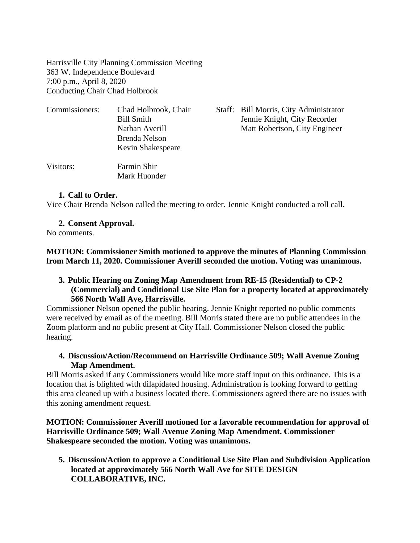Harrisville City Planning Commission Meeting 363 W. Independence Boulevard 7:00 p.m., April 8, 2020 Conducting Chair Chad Holbrook

| Commissioners: | Chad Holbrook, Chair<br><b>Bill Smith</b><br>Nathan Averill<br>Brenda Nelson<br>Kevin Shakespeare | Staff: Bill Morris, City Administrator<br>Jennie Knight, City Recorder<br>Matt Robertson, City Engineer |
|----------------|---------------------------------------------------------------------------------------------------|---------------------------------------------------------------------------------------------------------|
| Visitors:      | Farmin Shir<br>Mark Huonder                                                                       |                                                                                                         |

#### **1. Call to Order.**

Vice Chair Brenda Nelson called the meeting to order. Jennie Knight conducted a roll call.

#### **2. Consent Approval.**

No comments.

**MOTION: Commissioner Smith motioned to approve the minutes of Planning Commission from March 11, 2020. Commissioner Averill seconded the motion. Voting was unanimous.**

#### **3. Public Hearing on Zoning Map Amendment from RE-15 (Residential) to CP-2 (Commercial) and Conditional Use Site Plan for a property located at approximately 566 North Wall Ave, Harrisville.**

Commissioner Nelson opened the public hearing. Jennie Knight reported no public comments were received by email as of the meeting. Bill Morris stated there are no public attendees in the Zoom platform and no public present at City Hall. Commissioner Nelson closed the public hearing.

# **4. Discussion/Action/Recommend on Harrisville Ordinance 509; Wall Avenue Zoning Map Amendment.**

Bill Morris asked if any Commissioners would like more staff input on this ordinance. This is a location that is blighted with dilapidated housing. Administration is looking forward to getting this area cleaned up with a business located there. Commissioners agreed there are no issues with this zoning amendment request.

**MOTION: Commissioner Averill motioned for a favorable recommendation for approval of Harrisville Ordinance 509; Wall Avenue Zoning Map Amendment. Commissioner Shakespeare seconded the motion. Voting was unanimous.**

**5. Discussion/Action to approve a Conditional Use Site Plan and Subdivision Application located at approximately 566 North Wall Ave for SITE DESIGN COLLABORATIVE, INC.**